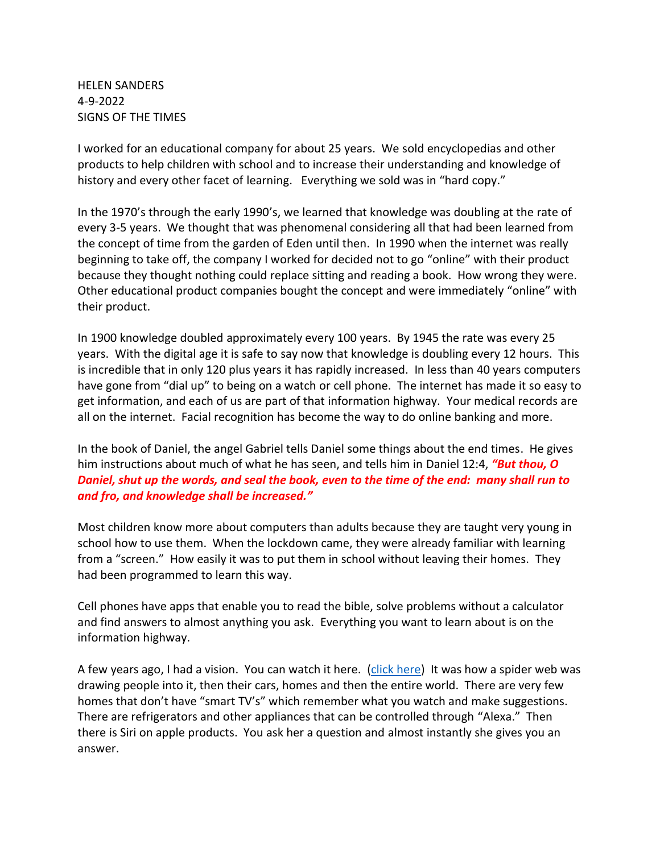HELEN SANDERS 4-9-2022 SIGNS OF THE TIMES

I worked for an educational company for about 25 years. We sold encyclopedias and other products to help children with school and to increase their understanding and knowledge of history and every other facet of learning. Everything we sold was in "hard copy."

In the 1970's through the early 1990's, we learned that knowledge was doubling at the rate of every 3-5 years. We thought that was phenomenal considering all that had been learned from the concept of time from the garden of Eden until then. In 1990 when the internet was really beginning to take off, the company I worked for decided not to go "online" with their product because they thought nothing could replace sitting and reading a book. How wrong they were. Other educational product companies bought the concept and were immediately "online" with their product.

In 1900 knowledge doubled approximately every 100 years. By 1945 the rate was every 25 years. With the digital age it is safe to say now that knowledge is doubling every 12 hours. This is incredible that in only 120 plus years it has rapidly increased. In less than 40 years computers have gone from "dial up" to being on a watch or cell phone. The internet has made it so easy to get information, and each of us are part of that information highway. Your medical records are all on the internet. Facial recognition has become the way to do online banking and more.

In the book of Daniel, the angel Gabriel tells Daniel some things about the end times. He gives him instructions about much of what he has seen, and tells him in Daniel 12:4, *"But thou, O Daniel, shut up the words, and seal the book, even to the time of the end: many shall run to and fro, and knowledge shall be increased."*

Most children know more about computers than adults because they are taught very young in school how to use them. When the lockdown came, they were already familiar with learning from a "screen." How easily it was to put them in school without leaving their homes. They had been programmed to learn this way.

Cell phones have apps that enable you to read the bible, solve problems without a calculator and find answers to almost anything you ask. Everything you want to learn about is on the information highway.

A few years ago, I had a vision. You can watch it here. [\(click here\)](https://youtu.be/TuI4kUcOEAU) It was how a spider web was drawing people into it, then their cars, homes and then the entire world. There are very few homes that don't have "smart TV's" which remember what you watch and make suggestions. There are refrigerators and other appliances that can be controlled through "Alexa." Then there is Siri on apple products. You ask her a question and almost instantly she gives you an answer.